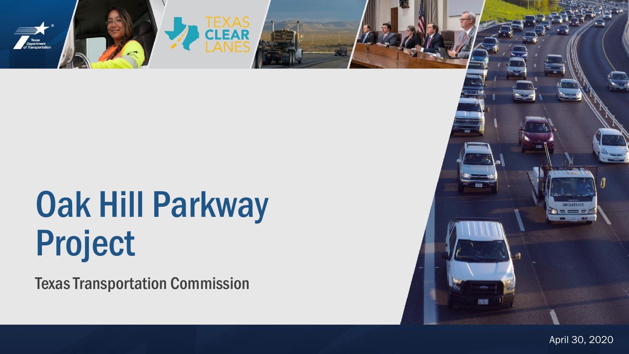

# Oak Hill Parkway Project

Texas Transportation Commission



of the extension of the extension of the extension of the extension of the extension  $\Delta p$  and  $\Delta 0, 2$ April 30, 2020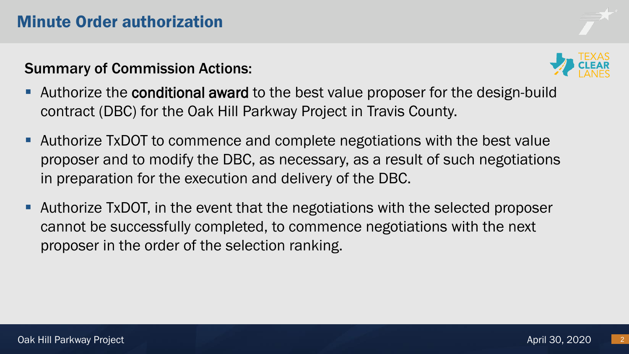## Summary of Commission Actions:



- **E** Authorize the **conditional award** to the best value proposer for the design-build contract (DBC) for the Oak Hill Parkway Project in Travis County.
- Authorize TxDOT to commence and complete negotiations with the best value proposer and to modify the DBC, as necessary, as a result of such negotiations in preparation for the execution and delivery of the DBC.
- Authorize TxDOT, in the event that the negotiations with the selected proposer cannot be successfully completed, to commence negotiations with the next proposer in the order of the selection ranking.

2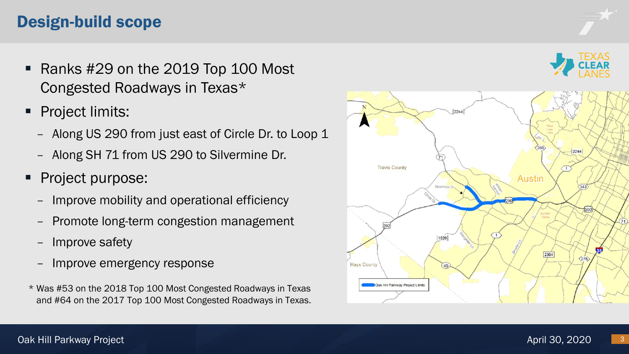# Design-build scope

- Ranks #29 on the 2019 Top 100 Most Congested Roadways in Texas\*
- Project limits:
	- Along US 290 from just east of Circle Dr. to Loop 1
	- Along SH 71 from US 290 to Silvermine Dr.
- Project purpose:
	- Improve mobility and operational efficiency
	- Promote long-term congestion management
	- Improve safety
	- Improve emergency response
- \* Was #53 on the 2018 Top 100 Most Congested Roadways in Texas and #64 on the 2017 Top 100 Most Congested Roadways in Texas.





3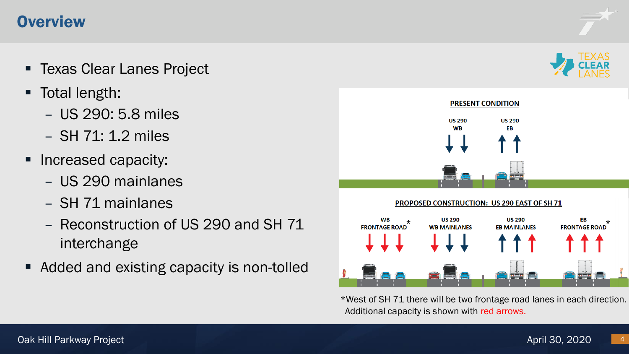## **Overview**

- Texas Clear Lanes Project
- Total length:
	- US 290: 5.8 miles
	- SH 71: 1.2 miles
- Increased capacity:
	- US 290 mainlanes
	- SH 71 mainlanes
	- Reconstruction of US 290 and SH 71 interchange
- Added and existing capacity is non-tolled



\*West of SH 71 there will be two frontage road lanes in each direction. Additional capacity is shown with red arrows.



4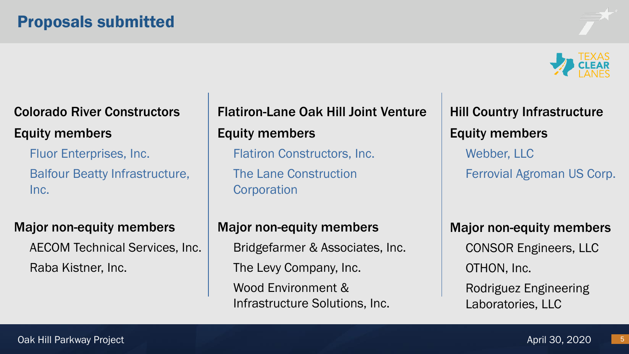

# Colorado River Constructors Equity members

Fluor Enterprises, Inc. Balfour Beatty Infrastructure, Inc.

#### Major non-equity members

AECOM Technical Services, Inc. Raba Kistner, Inc.

# Flatiron-Lane Oak Hill Joint Venture Equity members

Flatiron Constructors, Inc. The Lane Construction **Corporation** 

Hill Country Infrastructure Equity members Webber, LLC Ferrovial Agroman US Corp.

# Major non-equity members Bridgefarmer & Associates, Inc. The Levy Company, Inc. Wood Environment & Infrastructure Solutions, Inc.

Major non-equity members CONSOR Engineers, LLC OTHON, Inc. Rodriguez Engineering Laboratories, LLC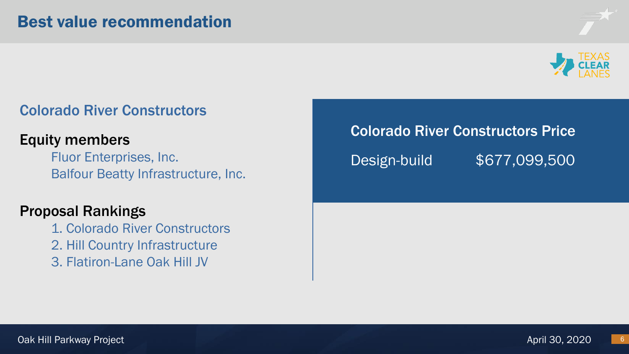

## Colorado River Constructors

## Equity members

Fluor Enterprises, Inc. Balfour Beatty Infrastructure, Inc.

### Proposal Rankings

- 1. Colorado River Constructors
- 2. Hill Country Infrastructure
- 3. Flatiron-Lane Oak Hill JV

Colorado River Constructors Price

Design-build \$677,099,500